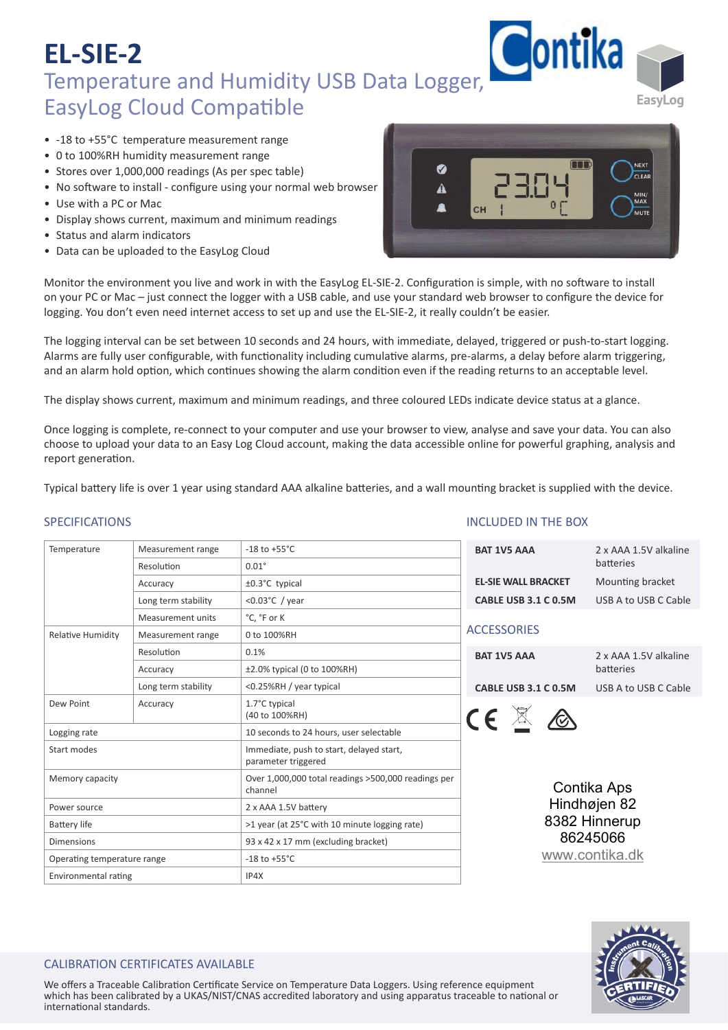- ‐18 to +55°C temperature measurement range
- 0 to 100%RH humidity measurement range
- Stores over 1,000,000 readings (As per spec table)
- No software to install configure using your normal web browser
- Use with a PC or Mac
- Display shows current, maximum and minimum readings
- Status and alarm indicators
- Data can be uploaded to the EasyLog Cloud



EasyLog

Monitor the environment you live and work in with the EasyLog EL-SIE-2. Configuration is simple, with no software to install on your PC or Mac – just connect the logger with a USB cable, and use your standard web browser to configure the device for logging. You don't even need internet access to set up and use the EL‐SIE‐2, it really couldn't be easier.

The logging interval can be set between 10 seconds and 24 hours, with immediate, delayed, triggered or push‐to‐start logging. Alarms are fully user configurable, with functionality including cumulative alarms, pre-alarms, a delay before alarm triggering, and an alarm hold option, which continues showing the alarm condition even if the reading returns to an acceptable level.

The display shows current, maximum and minimum readings, and three coloured LEDs indicate device status at a glance.

Once logging is complete, re-connect to your computer and use your browser to view, analyse and save your data. You can also choose to upload your data to an Easy Log Cloud account, making the data accessible online for powerful graphing, analysis and report generation.

Typical battery life is over 1 year using standard AAA alkaline batteries, and a wall mounting bracket is supplied with the device.

## SPECIFICATIONS

| Temperature                 | Measurement range   | $-18$ to $+55^{\circ}$ C                                        | BAT <sub>1</sub> |  |  |
|-----------------------------|---------------------|-----------------------------------------------------------------|------------------|--|--|
|                             | Resolution          | $0.01^\circ$                                                    |                  |  |  |
|                             | Accuracy            | ±0.3°C typical                                                  | EL-SII           |  |  |
|                             | Long term stability | < $0.03$ °C / year                                              | <b>CABL</b>      |  |  |
|                             | Measurement units   | °C. °F or K                                                     |                  |  |  |
| <b>Relative Humidity</b>    | Measurement range   | 0 to 100%RH                                                     | <b>ACCES</b>     |  |  |
|                             | Resolution          | 0.1%                                                            | BAT <sub>1</sub> |  |  |
|                             | Accuracy            | ±2.0% typical (0 to 100%RH)                                     |                  |  |  |
|                             | Long term stability | <0.25%RH / year typical                                         | <b>CABL</b>      |  |  |
| Dew Point                   | Accuracy            | 1.7°C typical<br>(40 to 100%RH)                                 |                  |  |  |
| Logging rate                |                     | 10 seconds to 24 hours, user selectable                         |                  |  |  |
| Start modes                 |                     | Immediate, push to start, delayed start,<br>parameter triggered |                  |  |  |
| Memory capacity             |                     | Over 1,000,000 total readings >500,000 readings per<br>channel  |                  |  |  |
| Power source                |                     | 2 x AAA 1.5V battery                                            |                  |  |  |
| <b>Battery life</b>         |                     | >1 year (at 25°C with 10 minute logging rate)                   |                  |  |  |
| <b>Dimensions</b>           |                     | 93 x 42 x 17 mm (excluding bracket)                             |                  |  |  |
| Operating temperature range |                     | $-18$ to $+55^{\circ}$ C                                        |                  |  |  |
| Environmental rating        |                     | IP4X                                                            |                  |  |  |

### INCLUDED IN THE BOX

| <b>BAT 1V5 AAA</b>         | 2 x AAA 1.5V alkaline<br>batteries |  |  |
|----------------------------|------------------------------------|--|--|
| <b>EL-SIE WALL BRACKET</b> | Mounting bracket                   |  |  |
| CABLE USB 3.1 C 0.5M       | USB A to USB C Cable               |  |  |
| <b>ACCESSORIES</b>         |                                    |  |  |
| <b>BAT 1V5 AAA</b>         | 2 x AAA 1.5V alkaline<br>hatteries |  |  |

LE USB 3.1 C 0.5M USB A to USB C Cable



Contika Aps Hindhøjen 82 8382 Hinnerup 86245066 [www.contika.dk](https://www.contika.dk/datalogger/easylog-sie/)



## CALIBRATION CERTIFICATES AVAILABLE

We offers a Traceable Calibration Certificate Service on Temperature Data Loggers. Using reference equipment which has been calibrated by a UKAS/NIST/CNAS accredited laboratory and using apparatus traceable to national or international standards.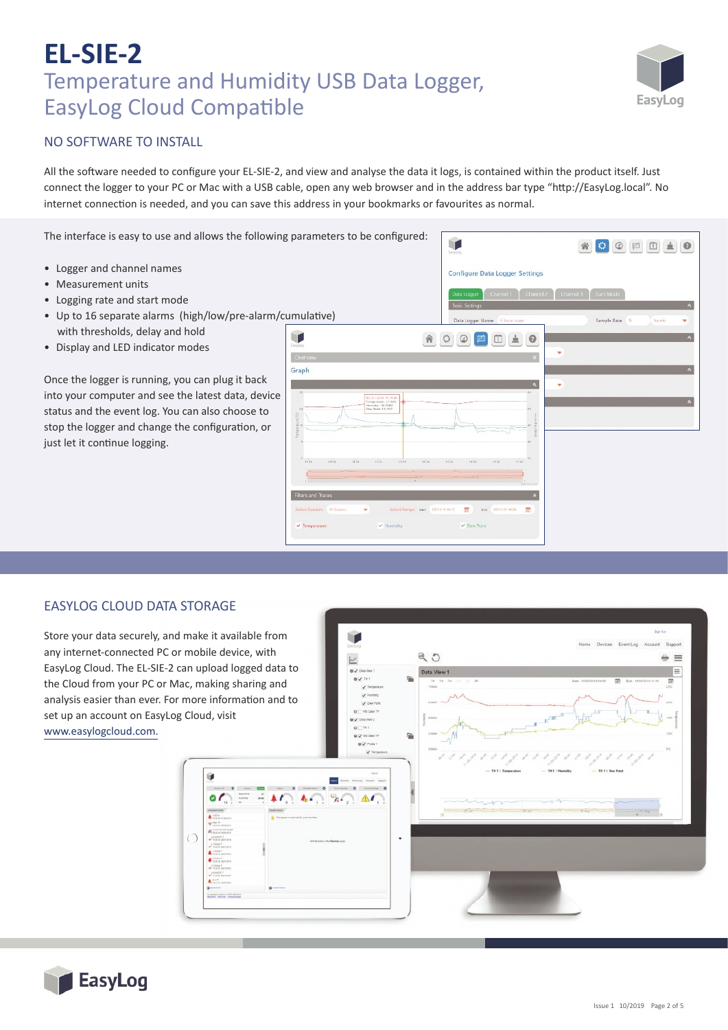

## NO SOFTWARE TO INSTALL

All the software needed to configure your EL-SIE-2, and view and analyse the data it logs, is contained within the product itself. Just connect the logger to your PC or Mac with a USB cable, open any web browser and in the address bar type "http://EasyLog.local". No internet connection is needed, and you can save this address in your bookmarks or favourites as normal.

The interface is easy to use and allows the following parameters to be configured:

- Logger and channel names
- Measurement units
- Logging rate and start mode
- Up to 16 separate alarms (high/low/pre-alarm/cumulative) with thresholds, delay and hold
- Display and LED indicator modes

Once the logger is running, you can plug it back into your computer and see the latest data, device status and the event log. You can also choose to stop the logger and change the configuration, or just let it continue logging.



#### EASYLOG CLOUD DATA STORAGE

Store your data securely, and make it available from any internet-connected PC or mobile device, with EasyLog Cloud. The EL‐SIE‐2 can upload logged data to the Cloud from your PC or Mac, making sharing and analysis easier than ever. For more information and to set up an account on EasyLog Cloud, visit www.easylogcloud.com.

**BU** Pole û  $\circ$  $\bigcirc$ 

 $900$ 



 $=$   $=$  $=$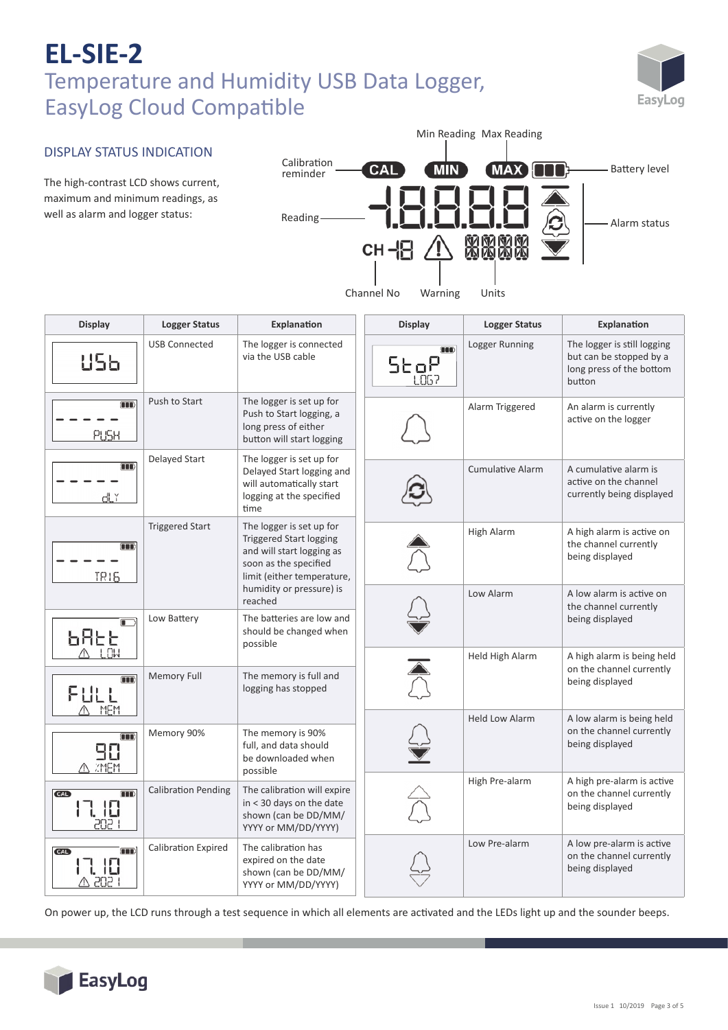

## DISPLAY STATUS INDICATION

The high-contrast LCD shows current, maximum and minimum readings, as well as alarm and logger status:



| <b>Display</b>                            | <b>Logger Status</b>       | Explanation                                                                                                                                    | <b>Display</b> | <b>Logger Status</b>    | Explanation                                                                                  |
|-------------------------------------------|----------------------------|------------------------------------------------------------------------------------------------------------------------------------------------|----------------|-------------------------|----------------------------------------------------------------------------------------------|
| U56                                       | <b>USB Connected</b>       | The logger is connected<br>via the USB cable                                                                                                   | <b>OOO</b>     | Logger Running          | The logger is still logging<br>but can be stopped by a<br>long press of the bottom<br>button |
| m<br>PUSH                                 | Push to Start              | The logger is set up for<br>Push to Start logging, a<br>long press of either<br>button will start logging                                      |                | Alarm Triggered         | An alarm is currently<br>active on the logger                                                |
| OO)<br>ďĽř                                | Delayed Start              | The logger is set up for<br>Delayed Start logging and<br>will automatically start<br>logging at the specified<br>time                          |                | <b>Cumulative Alarm</b> | A cumulative alarm is<br>active on the channel<br>currently being displayed                  |
| m<br><b>TR16</b>                          | <b>Triggered Start</b>     | The logger is set up for<br><b>Triggered Start logging</b><br>and will start logging as<br>soon as the specified<br>limit (either temperature, |                | High Alarm              | A high alarm is active on<br>the channel currently<br>being displayed                        |
|                                           |                            | humidity or pressure) is<br>reached                                                                                                            |                | Low Alarm               | A low alarm is active on<br>the channel currently                                            |
| ᲮᲩᲮᲮ<br>$A$ $\overline{1}$ $\overline{1}$ | Low Battery                | The batteries are low and<br>should be changed when<br>possible                                                                                |                | Held High Alarm         | being displayed<br>A high alarm is being held                                                |
| $\overline{\mathbf{m}}$<br>FULL<br>MEM    | <b>Memory Full</b>         | The memory is full and<br>logging has stopped                                                                                                  |                |                         | on the channel currently<br>being displayed                                                  |
| m<br>90<br>A ZMEM                         | Memory 90%                 | The memory is 90%<br>full, and data should<br>be downloaded when<br>possible                                                                   |                | <b>Held Low Alarm</b>   | A low alarm is being held<br>on the channel currently<br>being displayed                     |
| Œ<br>CAL)<br>17. IO<br>PNP I              | <b>Calibration Pending</b> | The calibration will expire<br>in < 30 days on the date<br>shown (can be DD/MM/<br>YYYY or MM/DD/YYYY)                                         |                | High Pre-alarm          | A high pre-alarm is active<br>on the channel currently<br>being displayed                    |
| <b>CAL</b><br>∆ 202                       | <b>Calibration Expired</b> | The calibration has<br>expired on the date<br>shown (can be DD/MM/<br>YYYY or MM/DD/YYYY)                                                      |                | Low Pre-alarm           | A low pre-alarm is active<br>on the channel currently<br>being displayed                     |

On power up, the LCD runs through a test sequence in which all elements are ac�vated and the LEDs light up and the sounder beeps.

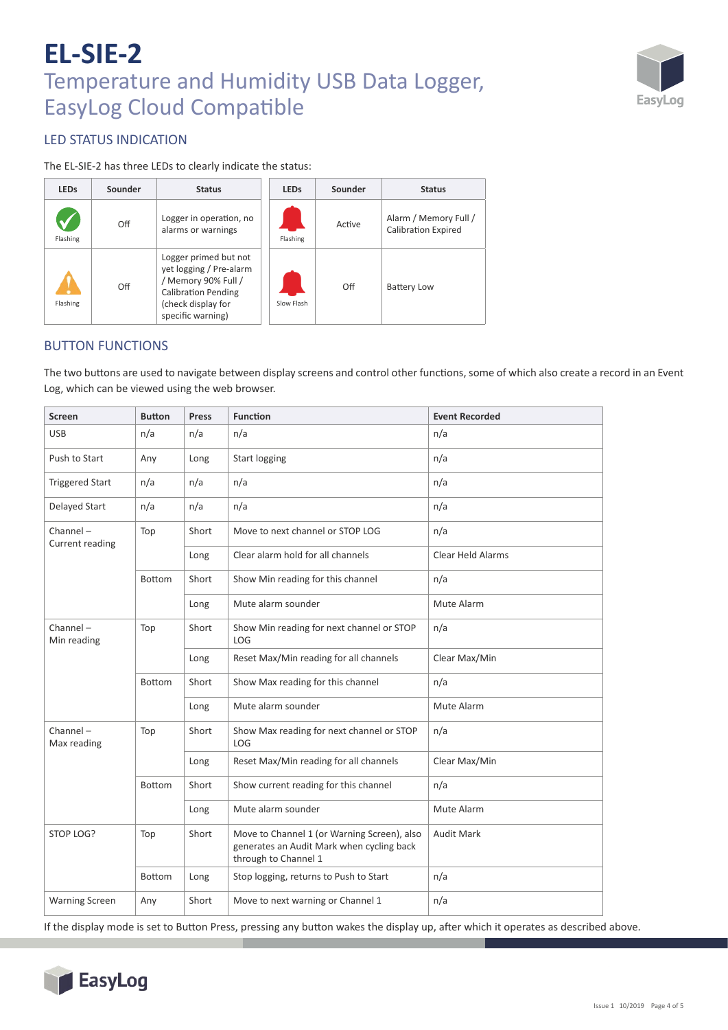

## LED STATUS INDICATION

The EL‐SIE‐2 has three LEDs to clearly indicate the status:

| <b>LEDs</b> | Sounder | <b>Status</b>                                                                                                                                    | <b>LEDs</b> | Sounder | <b>Status</b>                                       |
|-------------|---------|--------------------------------------------------------------------------------------------------------------------------------------------------|-------------|---------|-----------------------------------------------------|
| Flashing    | Off     | Logger in operation, no<br>alarms or warnings                                                                                                    | Flashing    | Active  | Alarm / Memory Full /<br><b>Calibration Expired</b> |
| Flashing    | Off     | Logger primed but not<br>yet logging / Pre-alarm<br>/ Memory 90% Full /<br><b>Calibration Pending</b><br>(check display for<br>specific warning) | Slow Flash  | Off     | <b>Battery Low</b>                                  |

## BUTTON FUNCTIONS

The two buttons are used to navigate between display screens and control other functions, some of which also create a record in an Event Log, which can be viewed using the web browser.

| <b>Screen</b>                  | <b>Button</b> | <b>Press</b> | <b>Function</b>                                                                                                  | <b>Event Recorded</b>    |
|--------------------------------|---------------|--------------|------------------------------------------------------------------------------------------------------------------|--------------------------|
| <b>USB</b>                     | n/a           | n/a          | n/a                                                                                                              | n/a                      |
| Push to Start                  | Any           | Long         | <b>Start logging</b>                                                                                             | n/a                      |
| <b>Triggered Start</b>         | n/a           | n/a          | n/a                                                                                                              | n/a                      |
| Delayed Start                  | n/a           | n/a          | n/a                                                                                                              | n/a                      |
| $Channel -$<br>Current reading | Top           | Short        | Move to next channel or STOP LOG                                                                                 | n/a                      |
|                                |               | Long         | Clear alarm hold for all channels                                                                                | <b>Clear Held Alarms</b> |
|                                | Bottom        | Short        | Show Min reading for this channel                                                                                | n/a                      |
|                                |               | Long         | Mute alarm sounder                                                                                               | Mute Alarm               |
| $Channel -$<br>Min reading     | Top           | Short        | Show Min reading for next channel or STOP<br>LOG                                                                 | n/a                      |
|                                |               | Long         | Reset Max/Min reading for all channels                                                                           | Clear Max/Min            |
|                                | Bottom        | Short        | Show Max reading for this channel                                                                                | n/a                      |
|                                |               | Long         | Mute alarm sounder                                                                                               | Mute Alarm               |
| Channel-<br>Max reading        | Top           | Short        | Show Max reading for next channel or STOP<br>LOG                                                                 | n/a                      |
|                                |               | Long         | Reset Max/Min reading for all channels                                                                           | Clear Max/Min            |
|                                | Bottom        | Short        | Show current reading for this channel                                                                            | n/a                      |
|                                |               | Long         | Mute alarm sounder                                                                                               | Mute Alarm               |
| STOP LOG?                      | Top           | Short        | Move to Channel 1 (or Warning Screen), also<br>generates an Audit Mark when cycling back<br>through to Channel 1 | <b>Audit Mark</b>        |
|                                | <b>Bottom</b> | Long         | Stop logging, returns to Push to Start                                                                           | n/a                      |
| <b>Warning Screen</b>          | Any           | Short        | Move to next warning or Channel 1                                                                                | n/a                      |

If the display mode is set to Button Press, pressing any button wakes the display up, after which it operates as described above.